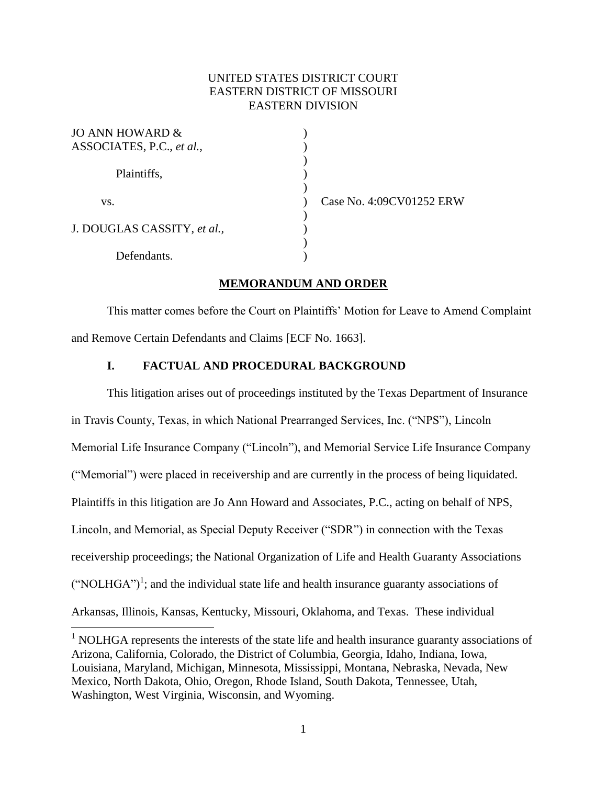## UNITED STATES DISTRICT COURT EASTERN DISTRICT OF MISSOURI EASTERN DIVISION

| JO ANN HOWARD &<br>ASSOCIATES, P.C., et al., |  |
|----------------------------------------------|--|
| Plaintiffs,                                  |  |
| VS.                                          |  |
| J. DOUGLAS CASSITY, et al.,                  |  |
| Defendants.                                  |  |

 $\overline{a}$ 

Case No. 4:09CV01252 ERW

## **MEMORANDUM AND ORDER**

This matter comes before the Court on Plaintiffs' Motion for Leave to Amend Complaint and Remove Certain Defendants and Claims [ECF No. 1663].

## **I. FACTUAL AND PROCEDURAL BACKGROUND**

This litigation arises out of proceedings instituted by the Texas Department of Insurance in Travis County, Texas, in which National Prearranged Services, Inc. ("NPS"), Lincoln Memorial Life Insurance Company ("Lincoln"), and Memorial Service Life Insurance Company ("Memorial") were placed in receivership and are currently in the process of being liquidated. Plaintiffs in this litigation are Jo Ann Howard and Associates, P.C., acting on behalf of NPS, Lincoln, and Memorial, as Special Deputy Receiver ("SDR") in connection with the Texas receivership proceedings; the National Organization of Life and Health Guaranty Associations  $("NOLHGA")<sup>1</sup>$ ; and the individual state life and health insurance guaranty associations of Arkansas, Illinois, Kansas, Kentucky, Missouri, Oklahoma, and Texas. These individual

 $<sup>1</sup>$  NOLHGA represents the interests of the state life and health insurance guaranty associations of</sup> Arizona, California, Colorado, the District of Columbia, Georgia, Idaho, Indiana, Iowa, Louisiana, Maryland, Michigan, Minnesota, Mississippi, Montana, Nebraska, Nevada, New Mexico, North Dakota, Ohio, Oregon, Rhode Island, South Dakota, Tennessee, Utah, Washington, West Virginia, Wisconsin, and Wyoming.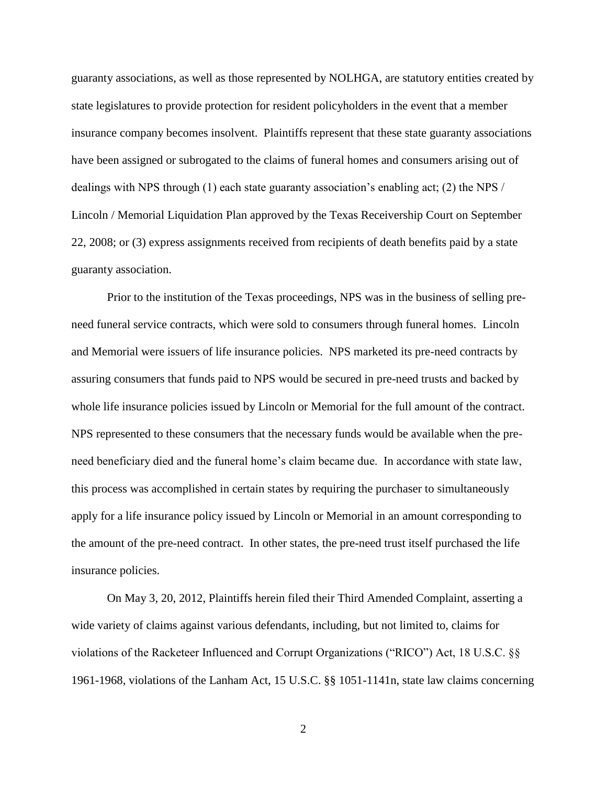guaranty associations, as well as those represented by NOLHGA, are statutory entities created by state legislatures to provide protection for resident policyholders in the event that a member insurance company becomes insolvent. Plaintiffs represent that these state guaranty associations have been assigned or subrogated to the claims of funeral homes and consumers arising out of dealings with NPS through (1) each state guaranty association's enabling act; (2) the NPS / Lincoln / Memorial Liquidation Plan approved by the Texas Receivership Court on September 22, 2008; or (3) express assignments received from recipients of death benefits paid by a state guaranty association.

Prior to the institution of the Texas proceedings, NPS was in the business of selling preneed funeral service contracts, which were sold to consumers through funeral homes. Lincoln and Memorial were issuers of life insurance policies. NPS marketed its pre-need contracts by assuring consumers that funds paid to NPS would be secured in pre-need trusts and backed by whole life insurance policies issued by Lincoln or Memorial for the full amount of the contract. NPS represented to these consumers that the necessary funds would be available when the preneed beneficiary died and the funeral home's claim became due. In accordance with state law, this process was accomplished in certain states by requiring the purchaser to simultaneously apply for a life insurance policy issued by Lincoln or Memorial in an amount corresponding to the amount of the pre-need contract. In other states, the pre-need trust itself purchased the life insurance policies.

On May 3, 20, 2012, Plaintiffs herein filed their Third Amended Complaint, asserting a wide variety of claims against various defendants, including, but not limited to, claims for violations of the Racketeer Influenced and Corrupt Organizations ("RICO") Act, 18 U.S.C. §§ 1961-1968, violations of the Lanham Act, 15 U.S.C. §§ 1051-1141n, state law claims concerning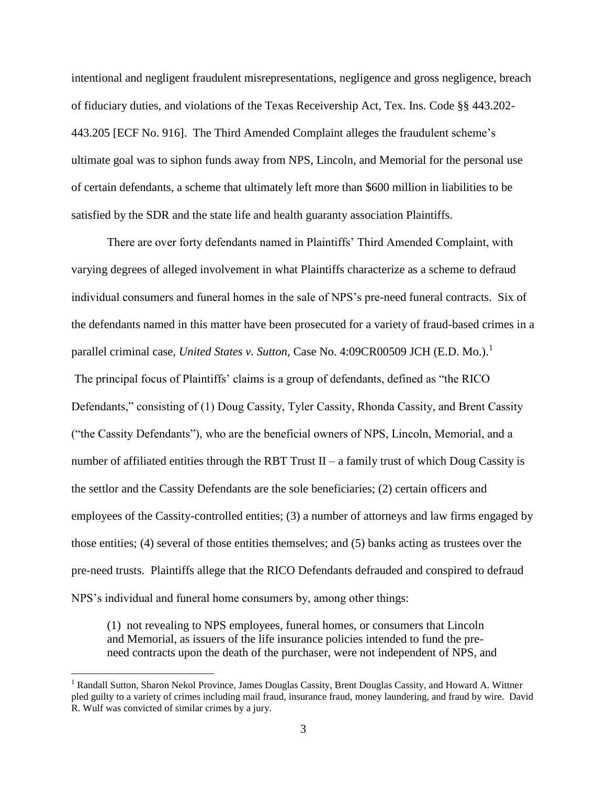intentional and negligent fraudulent misrepresentations, negligence and gross negligence, breach of fiduciary duties, and violations of the Texas Receivership Act, Tex. Ins. Code §§ 443.202- 443.205 [ECF No. 916]. The Third Amended Complaint alleges the fraudulent scheme's ultimate goal was to siphon funds away from NPS, Lincoln, and Memorial for the personal use of certain defendants, a scheme that ultimately left more than \$600 million in liabilities to be satisfied by the SDR and the state life and health guaranty association Plaintiffs.

There are over forty defendants named in Plaintiffs' Third Amended Complaint, with varying degrees of alleged involvement in what Plaintiffs characterize as a scheme to defraud individual consumers and funeral homes in the sale of NPS's pre-need funeral contracts. Six of the defendants named in this matter have been prosecuted for a variety of fraud-based crimes in a parallel criminal case, *United States v. Sutton*, Case No. 4:09CR00509 JCH (E.D. Mo.).<sup>1</sup> The principal focus of Plaintiffs' claims is a group of defendants, defined as "the RICO Defendants," consisting of (1) Doug Cassity, Tyler Cassity, Rhonda Cassity, and Brent Cassity ("the Cassity Defendants"), who are the beneficial owners of NPS, Lincoln, Memorial, and a number of affiliated entities through the RBT Trust  $II - a$  family trust of which Doug Cassity is the settlor and the Cassity Defendants are the sole beneficiaries; (2) certain officers and employees of the Cassity-controlled entities; (3) a number of attorneys and law firms engaged by those entities; (4) several of those entities themselves; and (5) banks acting as trustees over the pre-need trusts. Plaintiffs allege that the RICO Defendants defrauded and conspired to defraud NPS's individual and funeral home consumers by, among other things:

(1) not revealing to NPS employees, funeral homes, or consumers that Lincoln and Memorial, as issuers of the life insurance policies intended to fund the preneed contracts upon the death of the purchaser, were not independent of NPS, and

 $\overline{a}$ 

<sup>&</sup>lt;sup>1</sup> Randall Sutton, Sharon Nekol Province, James Douglas Cassity, Brent Douglas Cassity, and Howard A. Wittner pled guilty to a variety of crimes including mail fraud, insurance fraud, money laundering, and fraud by wire. David R. Wulf was convicted of similar crimes by a jury.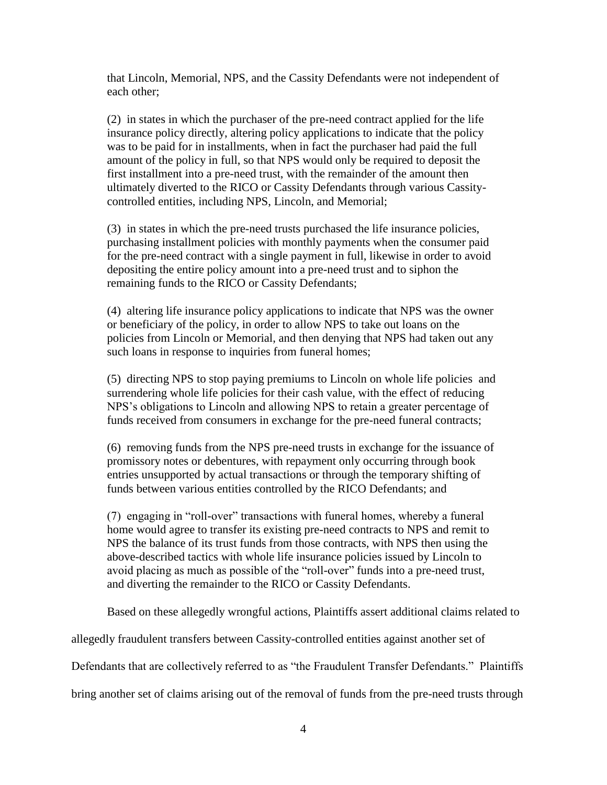that Lincoln, Memorial, NPS, and the Cassity Defendants were not independent of each other;

(2) in states in which the purchaser of the pre-need contract applied for the life insurance policy directly, altering policy applications to indicate that the policy was to be paid for in installments, when in fact the purchaser had paid the full amount of the policy in full, so that NPS would only be required to deposit the first installment into a pre-need trust, with the remainder of the amount then ultimately diverted to the RICO or Cassity Defendants through various Cassitycontrolled entities, including NPS, Lincoln, and Memorial;

(3) in states in which the pre-need trusts purchased the life insurance policies, purchasing installment policies with monthly payments when the consumer paid for the pre-need contract with a single payment in full, likewise in order to avoid depositing the entire policy amount into a pre-need trust and to siphon the remaining funds to the RICO or Cassity Defendants;

(4) altering life insurance policy applications to indicate that NPS was the owner or beneficiary of the policy, in order to allow NPS to take out loans on the policies from Lincoln or Memorial, and then denying that NPS had taken out any such loans in response to inquiries from funeral homes;

(5) directing NPS to stop paying premiums to Lincoln on whole life policies and surrendering whole life policies for their cash value, with the effect of reducing NPS's obligations to Lincoln and allowing NPS to retain a greater percentage of funds received from consumers in exchange for the pre-need funeral contracts;

(6) removing funds from the NPS pre-need trusts in exchange for the issuance of promissory notes or debentures, with repayment only occurring through book entries unsupported by actual transactions or through the temporary shifting of funds between various entities controlled by the RICO Defendants; and

(7) engaging in "roll-over" transactions with funeral homes, whereby a funeral home would agree to transfer its existing pre-need contracts to NPS and remit to NPS the balance of its trust funds from those contracts, with NPS then using the above-described tactics with whole life insurance policies issued by Lincoln to avoid placing as much as possible of the "roll-over" funds into a pre-need trust, and diverting the remainder to the RICO or Cassity Defendants.

Based on these allegedly wrongful actions, Plaintiffs assert additional claims related to

allegedly fraudulent transfers between Cassity-controlled entities against another set of

Defendants that are collectively referred to as "the Fraudulent Transfer Defendants." Plaintiffs

bring another set of claims arising out of the removal of funds from the pre-need trusts through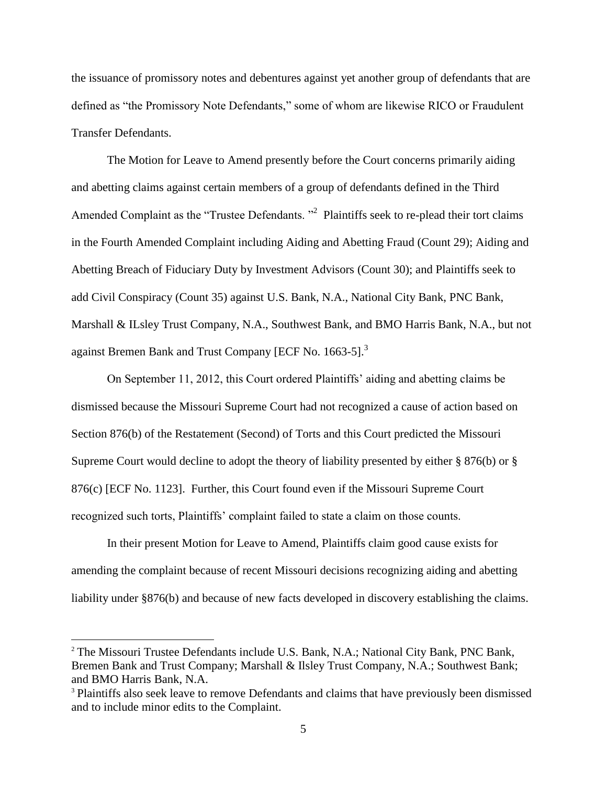the issuance of promissory notes and debentures against yet another group of defendants that are defined as "the Promissory Note Defendants," some of whom are likewise RICO or Fraudulent Transfer Defendants.

The Motion for Leave to Amend presently before the Court concerns primarily aiding and abetting claims against certain members of a group of defendants defined in the Third Amended Complaint as the "Trustee Defendants.<sup>"2</sup> Plaintiffs seek to re-plead their tort claims in the Fourth Amended Complaint including Aiding and Abetting Fraud (Count 29); Aiding and Abetting Breach of Fiduciary Duty by Investment Advisors (Count 30); and Plaintiffs seek to add Civil Conspiracy (Count 35) against U.S. Bank, N.A., National City Bank, PNC Bank, Marshall & ILsley Trust Company, N.A., Southwest Bank, and BMO Harris Bank, N.A., but not against Bremen Bank and Trust Company [ECF No. 1663-5].<sup>3</sup>

On September 11, 2012, this Court ordered Plaintiffs' aiding and abetting claims be dismissed because the Missouri Supreme Court had not recognized a cause of action based on Section 876(b) of the Restatement (Second) of Torts and this Court predicted the Missouri Supreme Court would decline to adopt the theory of liability presented by either § 876(b) or § 876(c) [ECF No. 1123]. Further, this Court found even if the Missouri Supreme Court recognized such torts, Plaintiffs' complaint failed to state a claim on those counts.

In their present Motion for Leave to Amend, Plaintiffs claim good cause exists for amending the complaint because of recent Missouri decisions recognizing aiding and abetting liability under §876(b) and because of new facts developed in discovery establishing the claims.

 $\overline{a}$ 

<sup>&</sup>lt;sup>2</sup> The Missouri Trustee Defendants include U.S. Bank, N.A.; National City Bank, PNC Bank, Bremen Bank and Trust Company; Marshall & Ilsley Trust Company, N.A.; Southwest Bank; and BMO Harris Bank, N.A.

<sup>&</sup>lt;sup>3</sup> Plaintiffs also seek leave to remove Defendants and claims that have previously been dismissed and to include minor edits to the Complaint.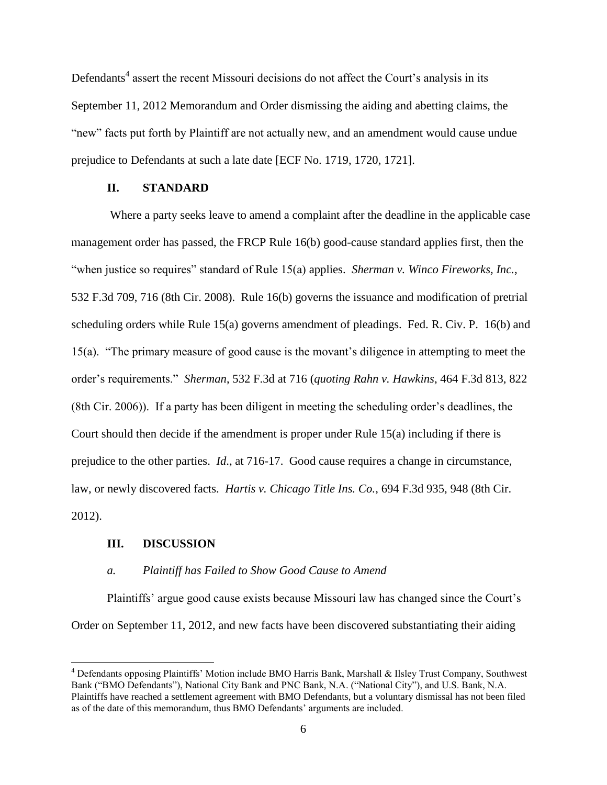Defendants<sup>4</sup> assert the recent Missouri decisions do not affect the Court's analysis in its September 11, 2012 Memorandum and Order dismissing the aiding and abetting claims, the "new" facts put forth by Plaintiff are not actually new, and an amendment would cause undue prejudice to Defendants at such a late date [ECF No. 1719, 1720, 1721].

## **II. STANDARD**

Where a party seeks leave to amend a complaint after the deadline in the applicable case management order has passed, the FRCP Rule 16(b) good-cause standard applies first, then the "when justice so requires" standard of Rule 15(a) applies. *Sherman v. Winco Fireworks, Inc.*, 532 F.3d 709, 716 (8th Cir. 2008). Rule 16(b) governs the issuance and modification of pretrial scheduling orders while Rule 15(a) governs amendment of pleadings. Fed. R. Civ. P. 16(b) and 15(a). "The primary measure of good cause is the movant's diligence in attempting to meet the order's requirements." *Sherman*, 532 F.3d at 716 (*quoting Rahn v. Hawkins*, 464 F.3d 813, 822 (8th Cir. 2006)). If a party has been diligent in meeting the scheduling order's deadlines, the Court should then decide if the amendment is proper under Rule 15(a) including if there is prejudice to the other parties. *Id*., at 716-17. Good cause requires a change in circumstance, law, or newly discovered facts. *Hartis v. Chicago Title Ins. Co.*, 694 F.3d 935, 948 (8th Cir. 2012).

#### **III. DISCUSSION**

 $\overline{a}$ 

#### *a. Plaintiff has Failed to Show Good Cause to Amend*

Plaintiffs' argue good cause exists because Missouri law has changed since the Court's Order on September 11, 2012, and new facts have been discovered substantiating their aiding

<sup>4</sup> Defendants opposing Plaintiffs' Motion include BMO Harris Bank, Marshall & Ilsley Trust Company, Southwest Bank ("BMO Defendants"), National City Bank and PNC Bank, N.A. ("National City"), and U.S. Bank, N.A. Plaintiffs have reached a settlement agreement with BMO Defendants, but a voluntary dismissal has not been filed as of the date of this memorandum, thus BMO Defendants' arguments are included.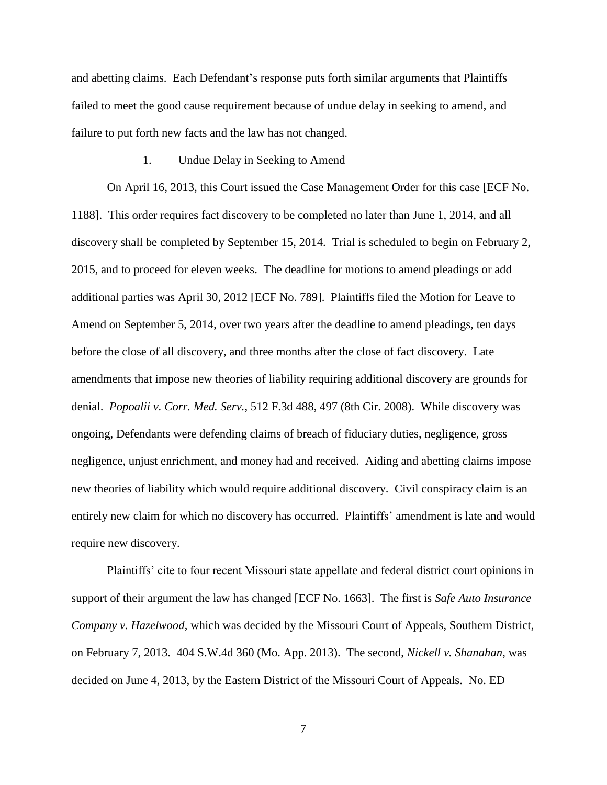and abetting claims. Each Defendant's response puts forth similar arguments that Plaintiffs failed to meet the good cause requirement because of undue delay in seeking to amend, and failure to put forth new facts and the law has not changed.

#### 1. Undue Delay in Seeking to Amend

On April 16, 2013, this Court issued the Case Management Order for this case [ECF No. 1188]. This order requires fact discovery to be completed no later than June 1, 2014, and all discovery shall be completed by September 15, 2014. Trial is scheduled to begin on February 2, 2015, and to proceed for eleven weeks. The deadline for motions to amend pleadings or add additional parties was April 30, 2012 [ECF No. 789]. Plaintiffs filed the Motion for Leave to Amend on September 5, 2014, over two years after the deadline to amend pleadings, ten days before the close of all discovery, and three months after the close of fact discovery. Late amendments that impose new theories of liability requiring additional discovery are grounds for denial. *Popoalii v. Corr. Med. Serv.*, 512 F.3d 488, 497 (8th Cir. 2008). While discovery was ongoing, Defendants were defending claims of breach of fiduciary duties, negligence, gross negligence, unjust enrichment, and money had and received. Aiding and abetting claims impose new theories of liability which would require additional discovery. Civil conspiracy claim is an entirely new claim for which no discovery has occurred. Plaintiffs' amendment is late and would require new discovery.

Plaintiffs' cite to four recent Missouri state appellate and federal district court opinions in support of their argument the law has changed [ECF No. 1663]. The first is *Safe Auto Insurance Company v. Hazelwood*, which was decided by the Missouri Court of Appeals, Southern District, on February 7, 2013. 404 S.W.4d 360 (Mo. App. 2013). The second, *Nickell v. Shanahan*, was decided on June 4, 2013, by the Eastern District of the Missouri Court of Appeals. No. ED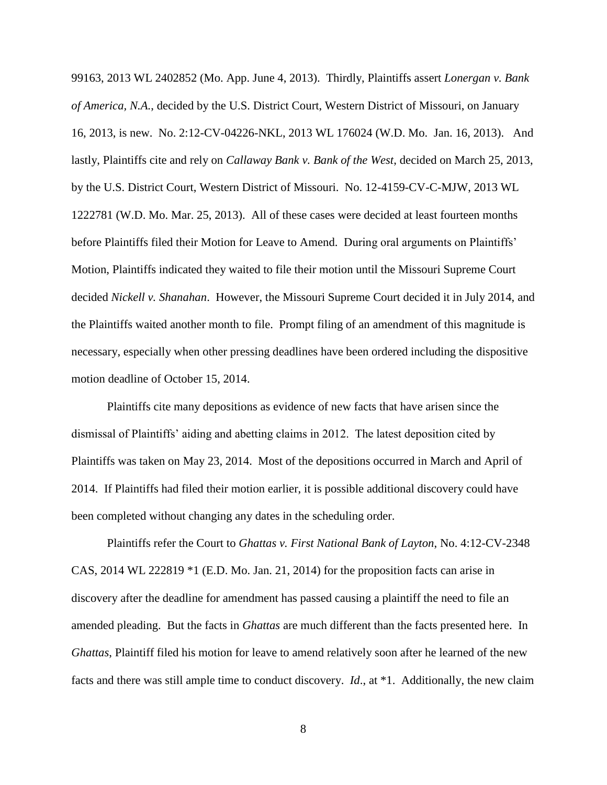99163, 2013 WL 2402852 (Mo. App. June 4, 2013). Thirdly, Plaintiffs assert *Lonergan v. Bank of America, N.A.*, decided by the U.S. District Court, Western District of Missouri, on January 16, 2013, is new. No. 2:12-CV-04226-NKL, 2013 WL 176024 (W.D. Mo. Jan. 16, 2013). And lastly, Plaintiffs cite and rely on *Callaway Bank v. Bank of the West*, decided on March 25, 2013, by the U.S. District Court, Western District of Missouri. No. 12-4159-CV-C-MJW, 2013 WL 1222781 (W.D. Mo. Mar. 25, 2013). All of these cases were decided at least fourteen months before Plaintiffs filed their Motion for Leave to Amend. During oral arguments on Plaintiffs' Motion, Plaintiffs indicated they waited to file their motion until the Missouri Supreme Court decided *Nickell v. Shanahan*. However, the Missouri Supreme Court decided it in July 2014, and the Plaintiffs waited another month to file. Prompt filing of an amendment of this magnitude is necessary, especially when other pressing deadlines have been ordered including the dispositive motion deadline of October 15, 2014.

Plaintiffs cite many depositions as evidence of new facts that have arisen since the dismissal of Plaintiffs' aiding and abetting claims in 2012. The latest deposition cited by Plaintiffs was taken on May 23, 2014. Most of the depositions occurred in March and April of 2014. If Plaintiffs had filed their motion earlier, it is possible additional discovery could have been completed without changing any dates in the scheduling order.

Plaintiffs refer the Court to *Ghattas v. First National Bank of Layton*, No. 4:12-CV-2348 CAS, 2014 WL 222819 \*1 (E.D. Mo. Jan. 21, 2014) for the proposition facts can arise in discovery after the deadline for amendment has passed causing a plaintiff the need to file an amended pleading. But the facts in *Ghattas* are much different than the facts presented here. In *Ghattas*, Plaintiff filed his motion for leave to amend relatively soon after he learned of the new facts and there was still ample time to conduct discovery. *Id*., at \*1. Additionally, the new claim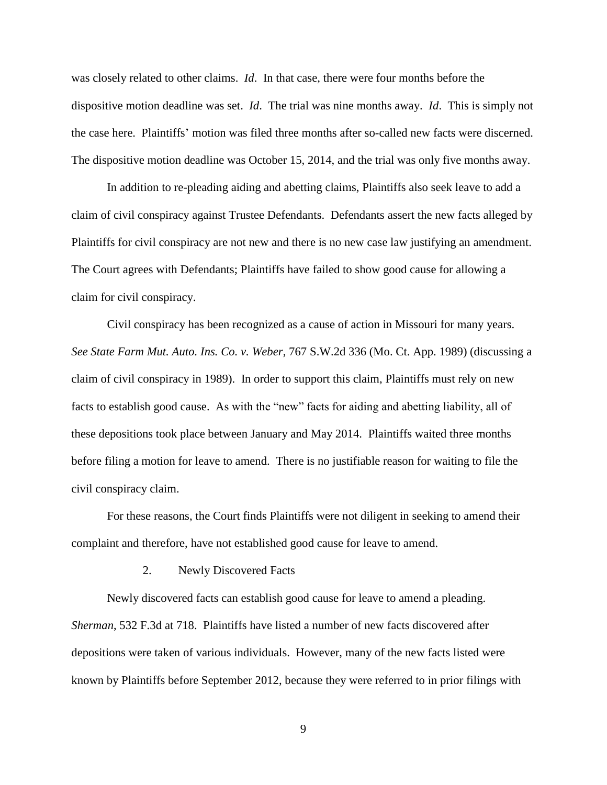was closely related to other claims. *Id*. In that case, there were four months before the dispositive motion deadline was set. *Id*. The trial was nine months away. *Id*. This is simply not the case here. Plaintiffs' motion was filed three months after so-called new facts were discerned. The dispositive motion deadline was October 15, 2014, and the trial was only five months away.

In addition to re-pleading aiding and abetting claims, Plaintiffs also seek leave to add a claim of civil conspiracy against Trustee Defendants. Defendants assert the new facts alleged by Plaintiffs for civil conspiracy are not new and there is no new case law justifying an amendment. The Court agrees with Defendants; Plaintiffs have failed to show good cause for allowing a claim for civil conspiracy.

Civil conspiracy has been recognized as a cause of action in Missouri for many years. *See State Farm Mut. Auto. Ins. Co. v. Weber*, 767 S.W.2d 336 (Mo. Ct. App. 1989) (discussing a claim of civil conspiracy in 1989). In order to support this claim, Plaintiffs must rely on new facts to establish good cause. As with the "new" facts for aiding and abetting liability, all of these depositions took place between January and May 2014. Plaintiffs waited three months before filing a motion for leave to amend. There is no justifiable reason for waiting to file the civil conspiracy claim.

For these reasons, the Court finds Plaintiffs were not diligent in seeking to amend their complaint and therefore, have not established good cause for leave to amend.

2. Newly Discovered Facts

Newly discovered facts can establish good cause for leave to amend a pleading. *Sherman*, 532 F.3d at 718. Plaintiffs have listed a number of new facts discovered after depositions were taken of various individuals. However, many of the new facts listed were known by Plaintiffs before September 2012, because they were referred to in prior filings with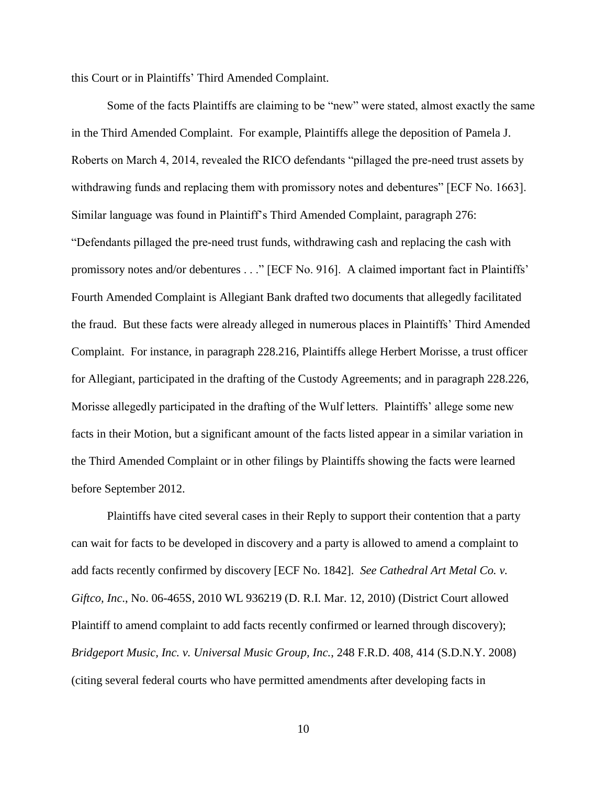this Court or in Plaintiffs' Third Amended Complaint.

Some of the facts Plaintiffs are claiming to be "new" were stated, almost exactly the same in the Third Amended Complaint. For example, Plaintiffs allege the deposition of Pamela J. Roberts on March 4, 2014, revealed the RICO defendants "pillaged the pre-need trust assets by withdrawing funds and replacing them with promissory notes and debentures" [ECF No. 1663]. Similar language was found in Plaintiff's Third Amended Complaint, paragraph 276: "Defendants pillaged the pre-need trust funds, withdrawing cash and replacing the cash with promissory notes and/or debentures . . ." [ECF No. 916]. A claimed important fact in Plaintiffs' Fourth Amended Complaint is Allegiant Bank drafted two documents that allegedly facilitated the fraud. But these facts were already alleged in numerous places in Plaintiffs' Third Amended Complaint. For instance, in paragraph 228.216, Plaintiffs allege Herbert Morisse, a trust officer for Allegiant, participated in the drafting of the Custody Agreements; and in paragraph 228.226, Morisse allegedly participated in the drafting of the Wulf letters. Plaintiffs' allege some new facts in their Motion, but a significant amount of the facts listed appear in a similar variation in the Third Amended Complaint or in other filings by Plaintiffs showing the facts were learned before September 2012.

Plaintiffs have cited several cases in their Reply to support their contention that a party can wait for facts to be developed in discovery and a party is allowed to amend a complaint to add facts recently confirmed by discovery [ECF No. 1842]. *See Cathedral Art Metal Co. v. Giftco, Inc*., No. 06-465S, 2010 WL 936219 (D. R.I. Mar. 12, 2010) (District Court allowed Plaintiff to amend complaint to add facts recently confirmed or learned through discovery); *Bridgeport Music, Inc. v. Universal Music Group, Inc.*, 248 F.R.D. 408, 414 (S.D.N.Y. 2008) (citing several federal courts who have permitted amendments after developing facts in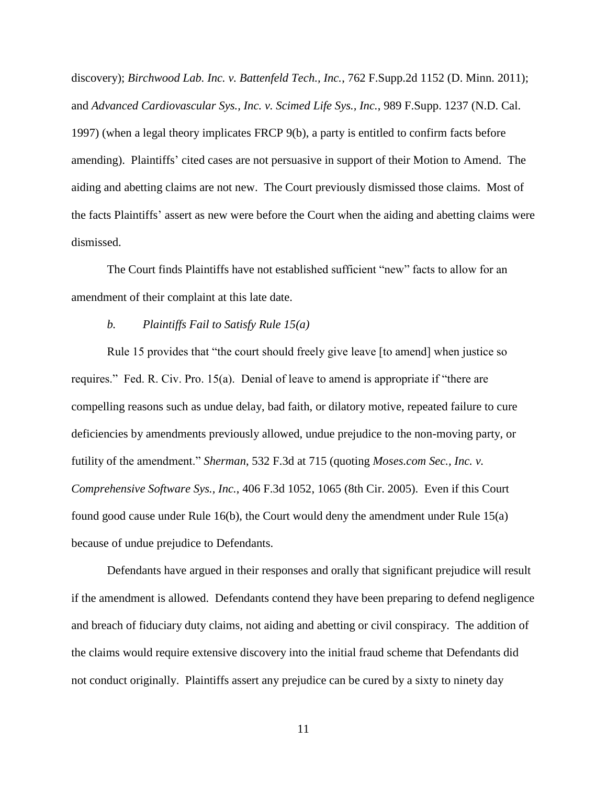discovery); *Birchwood Lab. Inc. v. Battenfeld Tech., Inc.*, 762 F.Supp.2d 1152 (D. Minn. 2011); and *Advanced Cardiovascular Sys., Inc. v. Scimed Life Sys., Inc.*, 989 F.Supp. 1237 (N.D. Cal. 1997) (when a legal theory implicates FRCP 9(b), a party is entitled to confirm facts before amending). Plaintiffs' cited cases are not persuasive in support of their Motion to Amend. The aiding and abetting claims are not new. The Court previously dismissed those claims. Most of the facts Plaintiffs' assert as new were before the Court when the aiding and abetting claims were dismissed.

The Court finds Plaintiffs have not established sufficient "new" facts to allow for an amendment of their complaint at this late date.

### *b. Plaintiffs Fail to Satisfy Rule 15(a)*

Rule 15 provides that "the court should freely give leave [to amend] when justice so requires." Fed. R. Civ. Pro. 15(a). Denial of leave to amend is appropriate if "there are compelling reasons such as undue delay, bad faith, or dilatory motive, repeated failure to cure deficiencies by amendments previously allowed, undue prejudice to the non-moving party, or futility of the amendment." *Sherman*, 532 F.3d at 715 (quoting *Moses.com Sec., Inc. v. Comprehensive Software Sys., Inc.*, 406 F.3d 1052, 1065 (8th Cir. 2005). Even if this Court found good cause under Rule 16(b), the Court would deny the amendment under Rule 15(a) because of undue prejudice to Defendants.

Defendants have argued in their responses and orally that significant prejudice will result if the amendment is allowed. Defendants contend they have been preparing to defend negligence and breach of fiduciary duty claims, not aiding and abetting or civil conspiracy. The addition of the claims would require extensive discovery into the initial fraud scheme that Defendants did not conduct originally. Plaintiffs assert any prejudice can be cured by a sixty to ninety day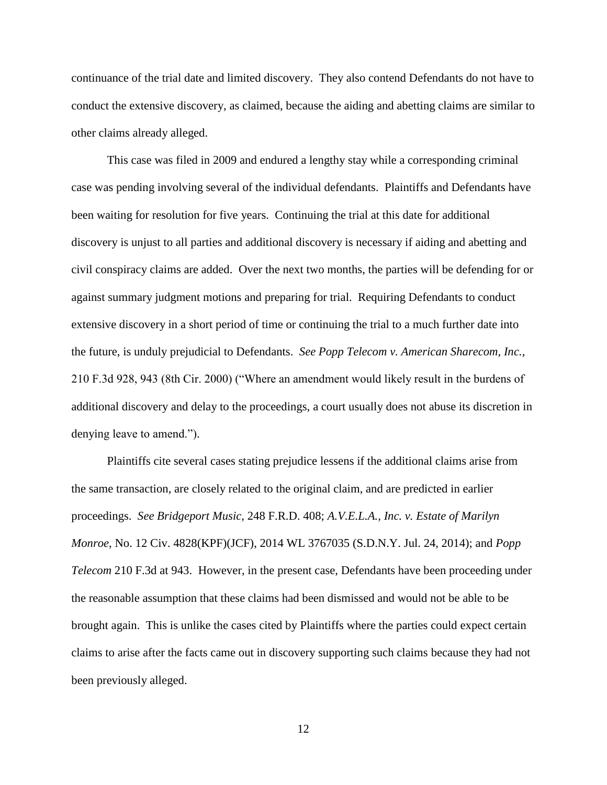continuance of the trial date and limited discovery. They also contend Defendants do not have to conduct the extensive discovery, as claimed, because the aiding and abetting claims are similar to other claims already alleged.

This case was filed in 2009 and endured a lengthy stay while a corresponding criminal case was pending involving several of the individual defendants. Plaintiffs and Defendants have been waiting for resolution for five years. Continuing the trial at this date for additional discovery is unjust to all parties and additional discovery is necessary if aiding and abetting and civil conspiracy claims are added. Over the next two months, the parties will be defending for or against summary judgment motions and preparing for trial. Requiring Defendants to conduct extensive discovery in a short period of time or continuing the trial to a much further date into the future, is unduly prejudicial to Defendants. *See Popp Telecom v. American Sharecom, Inc.*, 210 F.3d 928, 943 (8th Cir. 2000) ("Where an amendment would likely result in the burdens of additional discovery and delay to the proceedings, a court usually does not abuse its discretion in denying leave to amend.").

Plaintiffs cite several cases stating prejudice lessens if the additional claims arise from the same transaction, are closely related to the original claim, and are predicted in earlier proceedings. *See Bridgeport Music*, 248 F.R.D. 408; *A.V.E.L.A., Inc. v. Estate of Marilyn Monroe*, No. 12 Civ. 4828(KPF)(JCF), 2014 WL 3767035 (S.D.N.Y. Jul. 24, 2014); and *Popp Telecom* 210 F.3d at 943. However, in the present case, Defendants have been proceeding under the reasonable assumption that these claims had been dismissed and would not be able to be brought again. This is unlike the cases cited by Plaintiffs where the parties could expect certain claims to arise after the facts came out in discovery supporting such claims because they had not been previously alleged.